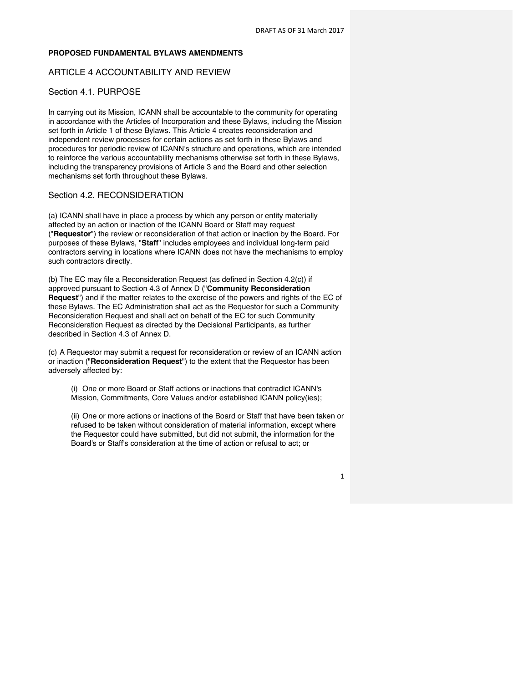1

#### **PROPOSED FUNDAMENTAL BYLAWS AMENDMENTS**

#### ARTICLE 4 ACCOUNTABILITY AND REVIEW

### Section 4.1. PURPOSE

In carrying out its Mission, ICANN shall be accountable to the community for operating in accordance with the Articles of Incorporation and these Bylaws, including the Mission set forth in Article 1 of these Bylaws. This Article 4 creates reconsideration and independent review processes for certain actions as set forth in these Bylaws and procedures for periodic review of ICANN's structure and operations, which are intended to reinforce the various accountability mechanisms otherwise set forth in these Bylaws, including the transparency provisions of Article 3 and the Board and other selection mechanisms set forth throughout these Bylaws.

#### Section 4.2. RECONSIDERATION

(a) ICANN shall have in place a process by which any person or entity materially affected by an action or inaction of the ICANN Board or Staff may request ("**Requestor**") the review or reconsideration of that action or inaction by the Board. For purposes of these Bylaws, "**Staff**" includes employees and individual long-term paid contractors serving in locations where ICANN does not have the mechanisms to employ such contractors directly.

(b) The EC may file a Reconsideration Request (as defined in Section 4.2(c)) if approved pursuant to Section 4.3 of Annex D ("**Community Reconsideration Request**") and if the matter relates to the exercise of the powers and rights of the EC of these Bylaws. The EC Administration shall act as the Requestor for such a Community Reconsideration Request and shall act on behalf of the EC for such Community Reconsideration Request as directed by the Decisional Participants, as further described in Section 4.3 of Annex D.

(c) A Requestor may submit a request for reconsideration or review of an ICANN action or inaction ("**Reconsideration Request**") to the extent that the Requestor has been adversely affected by:

(i) One or more Board or Staff actions or inactions that contradict ICANN's Mission, Commitments, Core Values and/or established ICANN policy(ies);

(ii) One or more actions or inactions of the Board or Staff that have been taken or refused to be taken without consideration of material information, except where the Requestor could have submitted, but did not submit, the information for the Board's or Staff's consideration at the time of action or refusal to act; or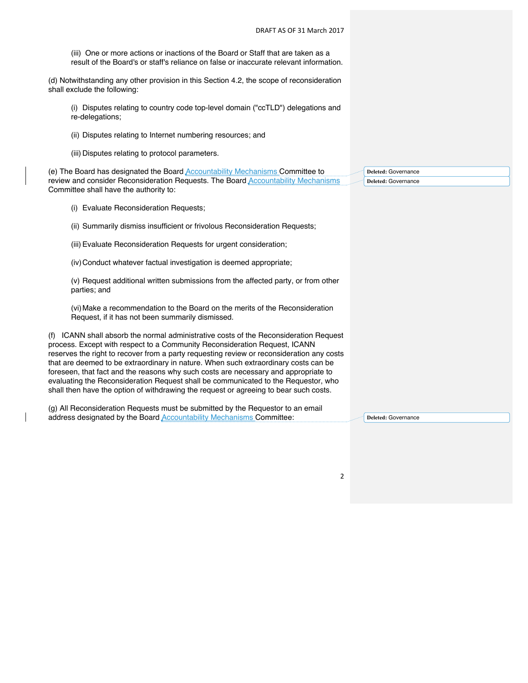|                                                                                                                                                         | DRAFT AS OF 31 March 2017                                                                                                                                                                                                                                                                                                                                                                                                                                                                                                                                                                                                     |                            |
|---------------------------------------------------------------------------------------------------------------------------------------------------------|-------------------------------------------------------------------------------------------------------------------------------------------------------------------------------------------------------------------------------------------------------------------------------------------------------------------------------------------------------------------------------------------------------------------------------------------------------------------------------------------------------------------------------------------------------------------------------------------------------------------------------|----------------------------|
|                                                                                                                                                         | (iii) One or more actions or inactions of the Board or Staff that are taken as a<br>result of the Board's or staff's reliance on false or inaccurate relevant information.                                                                                                                                                                                                                                                                                                                                                                                                                                                    |                            |
| (d) Notwithstanding any other provision in this Section 4.2, the scope of reconsideration<br>shall exclude the following:                               |                                                                                                                                                                                                                                                                                                                                                                                                                                                                                                                                                                                                                               |                            |
|                                                                                                                                                         | (i) Disputes relating to country code top-level domain ("ccTLD") delegations and<br>re-delegations;                                                                                                                                                                                                                                                                                                                                                                                                                                                                                                                           |                            |
|                                                                                                                                                         | (ii) Disputes relating to Internet numbering resources; and                                                                                                                                                                                                                                                                                                                                                                                                                                                                                                                                                                   |                            |
|                                                                                                                                                         | (iii) Disputes relating to protocol parameters.                                                                                                                                                                                                                                                                                                                                                                                                                                                                                                                                                                               |                            |
|                                                                                                                                                         | (e) The Board has designated the Board Accountability Mechanisms Committee to                                                                                                                                                                                                                                                                                                                                                                                                                                                                                                                                                 | <b>Deleted: Governance</b> |
|                                                                                                                                                         | review and consider Reconsideration Requests. The Board Accountability Mechanisms                                                                                                                                                                                                                                                                                                                                                                                                                                                                                                                                             | Deleted: Governance        |
|                                                                                                                                                         | Committee shall have the authority to:                                                                                                                                                                                                                                                                                                                                                                                                                                                                                                                                                                                        |                            |
|                                                                                                                                                         | (i) Evaluate Reconsideration Requests;                                                                                                                                                                                                                                                                                                                                                                                                                                                                                                                                                                                        |                            |
|                                                                                                                                                         | (ii) Summarily dismiss insufficient or frivolous Reconsideration Requests;                                                                                                                                                                                                                                                                                                                                                                                                                                                                                                                                                    |                            |
|                                                                                                                                                         | (iii) Evaluate Reconsideration Requests for urgent consideration;                                                                                                                                                                                                                                                                                                                                                                                                                                                                                                                                                             |                            |
|                                                                                                                                                         | (iv) Conduct whatever factual investigation is deemed appropriate;                                                                                                                                                                                                                                                                                                                                                                                                                                                                                                                                                            |                            |
|                                                                                                                                                         | (v) Request additional written submissions from the affected party, or from other<br>parties; and                                                                                                                                                                                                                                                                                                                                                                                                                                                                                                                             |                            |
|                                                                                                                                                         | (vi) Make a recommendation to the Board on the merits of the Reconsideration<br>Request, if it has not been summarily dismissed.                                                                                                                                                                                                                                                                                                                                                                                                                                                                                              |                            |
|                                                                                                                                                         | (f) ICANN shall absorb the normal administrative costs of the Reconsideration Request<br>process. Except with respect to a Community Reconsideration Request, ICANN<br>reserves the right to recover from a party requesting review or reconsideration any costs<br>that are deemed to be extraordinary in nature. When such extraordinary costs can be<br>foreseen, that fact and the reasons why such costs are necessary and appropriate to<br>evaluating the Reconsideration Request shall be communicated to the Requestor, who<br>shall then have the option of withdrawing the request or agreeing to bear such costs. |                            |
| (g) All Reconsideration Requests must be submitted by the Requestor to an email<br>address designated by the Board Accountability Mechanisms Committee: |                                                                                                                                                                                                                                                                                                                                                                                                                                                                                                                                                                                                                               | <b>Deleted: Governance</b> |
|                                                                                                                                                         |                                                                                                                                                                                                                                                                                                                                                                                                                                                                                                                                                                                                                               |                            |

 $\overline{\phantom{a}}$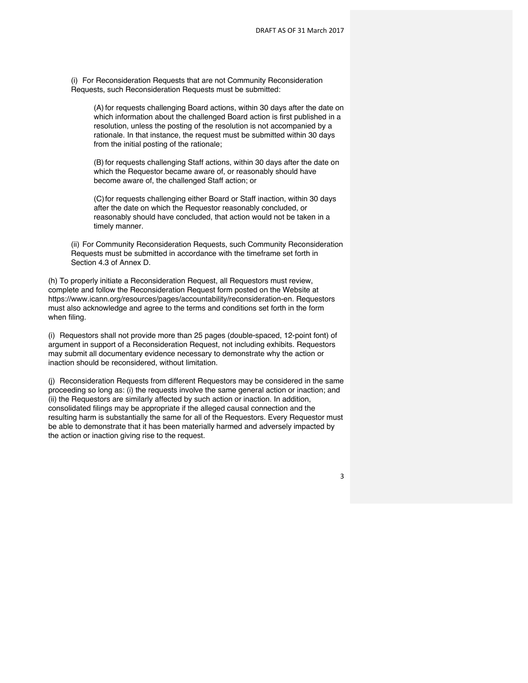(i) For Reconsideration Requests that are not Community Reconsideration Requests, such Reconsideration Requests must be submitted:

(A) for requests challenging Board actions, within 30 days after the date on which information about the challenged Board action is first published in a resolution, unless the posting of the resolution is not accompanied by a rationale. In that instance, the request must be submitted within 30 days from the initial posting of the rationale;

(B) for requests challenging Staff actions, within 30 days after the date on which the Requestor became aware of, or reasonably should have become aware of, the challenged Staff action; or

(C) for requests challenging either Board or Staff inaction, within 30 days after the date on which the Requestor reasonably concluded, or reasonably should have concluded, that action would not be taken in a timely manner.

(ii) For Community Reconsideration Requests, such Community Reconsideration Requests must be submitted in accordance with the timeframe set forth in Section 4.3 of Annex D.

(h) To properly initiate a Reconsideration Request, all Requestors must review, complete and follow the Reconsideration Request form posted on the Website at https://www.icann.org/resources/pages/accountability/reconsideration-en. Requestors must also acknowledge and agree to the terms and conditions set forth in the form when filing.

(i) Requestors shall not provide more than 25 pages (double-spaced, 12-point font) of argument in support of a Reconsideration Request, not including exhibits. Requestors may submit all documentary evidence necessary to demonstrate why the action or inaction should be reconsidered, without limitation.

(j) Reconsideration Requests from different Requestors may be considered in the same proceeding so long as: (i) the requests involve the same general action or inaction; and (ii) the Requestors are similarly affected by such action or inaction. In addition, consolidated filings may be appropriate if the alleged causal connection and the resulting harm is substantially the same for all of the Requestors. Every Requestor must be able to demonstrate that it has been materially harmed and adversely impacted by the action or inaction giving rise to the request.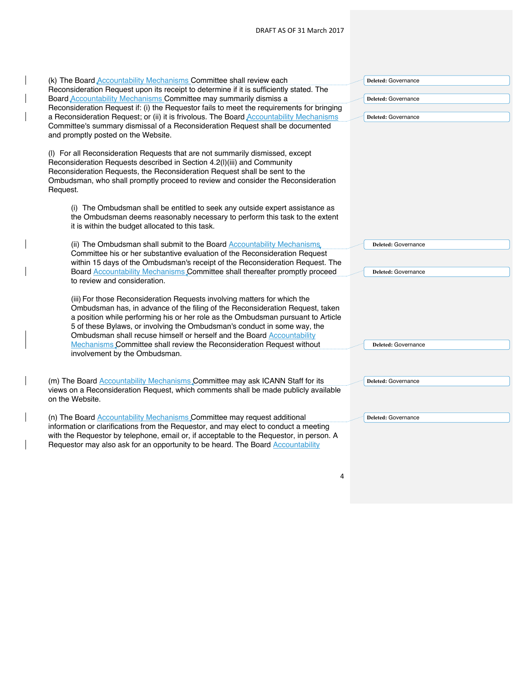| (k) The Board <b>Accountability Mechanisms</b> Committee shall review each<br>Reconsideration Request upon its receipt to determine if it is sufficiently stated. The<br>Board <b>Accountability Mechanisms</b> Committee may summarily dismiss a<br>Reconsideration Request if: (i) the Requestor fails to meet the requirements for bringing<br>a Reconsideration Request; or (ii) it is frivolous. The Board <b>Accountability Mechanisms</b><br>Committee's summary dismissal of a Reconsideration Request shall be documented<br>and promptly posted on the Website. | Deleted: Governance<br>Deleted: Governance<br>Deleted: Governance |
|---------------------------------------------------------------------------------------------------------------------------------------------------------------------------------------------------------------------------------------------------------------------------------------------------------------------------------------------------------------------------------------------------------------------------------------------------------------------------------------------------------------------------------------------------------------------------|-------------------------------------------------------------------|
| (I) For all Reconsideration Requests that are not summarily dismissed, except<br>Reconsideration Requests described in Section 4.2(I)(iii) and Community<br>Reconsideration Requests, the Reconsideration Request shall be sent to the<br>Ombudsman, who shall promptly proceed to review and consider the Reconsideration<br>Request.                                                                                                                                                                                                                                    |                                                                   |
| (i) The Ombudsman shall be entitled to seek any outside expert assistance as<br>the Ombudsman deems reasonably necessary to perform this task to the extent<br>it is within the budget allocated to this task.                                                                                                                                                                                                                                                                                                                                                            |                                                                   |
| (ii) The Ombudsman shall submit to the Board <b>Accountability Mechanisms</b> ,<br>Committee his or her substantive evaluation of the Reconsideration Request<br>within 15 days of the Ombudsman's receipt of the Reconsideration Request. The<br>Board Accountability Mechanisms Committee shall thereafter promptly proceed<br>to review and consideration.                                                                                                                                                                                                             | Deleted: Governance<br>Deleted: Governance                        |
| (iii) For those Reconsideration Requests involving matters for which the<br>Ombudsman has, in advance of the filing of the Reconsideration Request, taken<br>a position while performing his or her role as the Ombudsman pursuant to Article<br>5 of these Bylaws, or involving the Ombudsman's conduct in some way, the<br>Ombudsman shall recuse himself or herself and the Board Accountability<br>Mechanisms Committee shall review the Reconsideration Request without                                                                                              | Deleted: Governance                                               |
| involvement by the Ombudsman.<br>(m) The Board <b>Accountability Mechanisms</b> Committee may ask ICANN Staff for its                                                                                                                                                                                                                                                                                                                                                                                                                                                     | Deleted: Governance                                               |
| views on a Reconsideration Request, which comments shall be made publicly available<br>on the Website.                                                                                                                                                                                                                                                                                                                                                                                                                                                                    |                                                                   |
| (n) The Board <b>Accountability Mechanisms</b> Committee may request additional<br>information or clarifications from the Requestor, and may elect to conduct a meeting<br>with the Requestor by telephone, email or, if acceptable to the Requestor, in person. A<br>Requestor may also ask for an opportunity to be heard. The Board Accountability                                                                                                                                                                                                                     | Deleted: Governance                                               |

 $\overline{\phantom{a}}$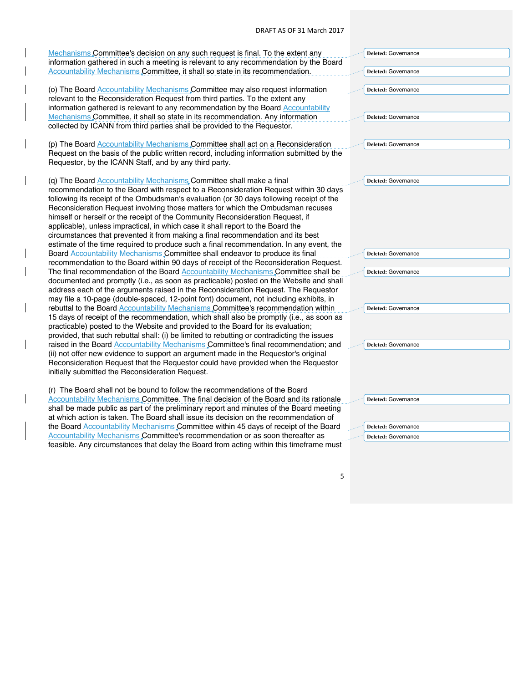| Mechanisms Committee's decision on any such request is final. To the extent any             | Deleted: Governance        |
|---------------------------------------------------------------------------------------------|----------------------------|
| information gathered in such a meeting is relevant to any recommendation by the Board       |                            |
| Accountability Mechanisms Committee, it shall so state in its recommendation.               | Deleted: Governance        |
|                                                                                             |                            |
| (o) The Board Accountability Mechanisms Committee may also request information              | Deleted: Governance        |
| relevant to the Reconsideration Request from third parties. To the extent any               |                            |
| information gathered is relevant to any recommendation by the Board Accountability          |                            |
| Mechanisms Committee, it shall so state in its recommendation. Any information              | Deleted: Governance        |
| collected by ICANN from third parties shall be provided to the Requestor.                   |                            |
|                                                                                             |                            |
| (p) The Board Accountability Mechanisms Committee shall act on a Reconsideration            | Deleted: Governance        |
| Request on the basis of the public written record, including information submitted by the   |                            |
| Requestor, by the ICANN Staff, and by any third party.                                      |                            |
|                                                                                             |                            |
| (q) The Board Accountability Mechanisms Committee shall make a final                        | Deleted: Governance        |
| recommendation to the Board with respect to a Reconsideration Request within 30 days        |                            |
| following its receipt of the Ombudsman's evaluation (or 30 days following receipt of the    |                            |
| Reconsideration Request involving those matters for which the Ombudsman recuses             |                            |
| himself or herself or the receipt of the Community Reconsideration Request, if              |                            |
| applicable), unless impractical, in which case it shall report to the Board the             |                            |
| circumstances that prevented it from making a final recommendation and its best             |                            |
| estimate of the time required to produce such a final recommendation. In any event, the     |                            |
| Board Accountability Mechanisms Committee shall endeavor to produce its final               | Deleted: Governance        |
| recommendation to the Board within 90 days of receipt of the Reconsideration Request.       |                            |
| The final recommendation of the Board Accountability Mechanisms Committee shall be          | Deleted: Governance        |
| documented and promptly (i.e., as soon as practicable) posted on the Website and shall      |                            |
| address each of the arguments raised in the Reconsideration Request. The Requestor          |                            |
| may file a 10-page (double-spaced, 12-point font) document, not including exhibits, in      |                            |
| rebuttal to the Board Accountability Mechanisms Committee's recommendation within           | Deleted: Governance        |
| 15 days of receipt of the recommendation, which shall also be promptly (i.e., as soon as    |                            |
| practicable) posted to the Website and provided to the Board for its evaluation;            |                            |
| provided, that such rebuttal shall: (i) be limited to rebutting or contradicting the issues |                            |
| raised in the Board Accountability Mechanisms Committee's final recommendation; and         | <b>Deleted: Governance</b> |
| (ii) not offer new evidence to support an argument made in the Requestor's original         |                            |
| Reconsideration Request that the Requestor could have provided when the Requestor           |                            |
| initially submitted the Reconsideration Request.                                            |                            |
|                                                                                             |                            |
| (r) The Board shall not be bound to follow the recommendations of the Board                 |                            |
| Accountability Mechanisms Committee. The final decision of the Board and its rationale      | Deleted: Governance        |
| shall be made public as part of the preliminary report and minutes of the Board meeting     |                            |
| at which action is taken. The Board shall issue its decision on the recommendation of       |                            |
| the Board <b>Accountability Mechanisms</b> Committee within 45 days of receipt of the Board | Deleted: Governance        |
| Accountability Mechanisms Committee's recommendation or as soon thereafter as               | Deleted: Governance        |
| feasible. Any circumstances that delay the Board from acting within this timeframe must     |                            |

 $\overline{\phantom{a}}$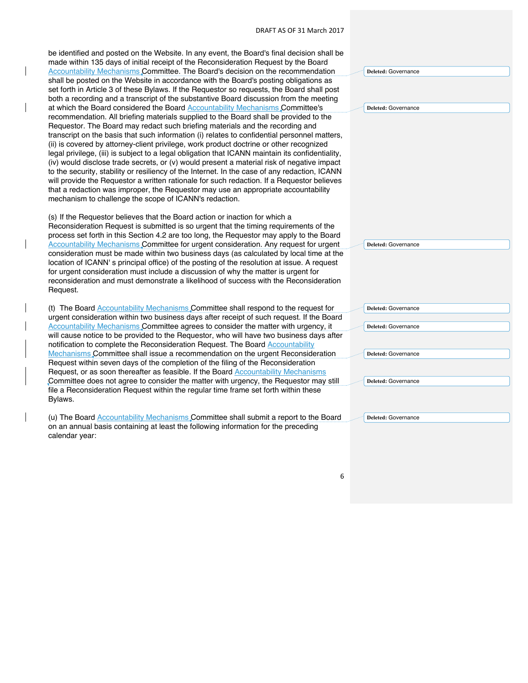$\overline{\phantom{a}}$ 

 $\overline{\phantom{a}}$ 

 $\overline{\phantom{a}}$ 

| be identified and posted on the Website. In any event, the Board's final decision shall be<br>made within 135 days of initial receipt of the Reconsideration Request by the Board<br>Accountability Mechanisms Committee. The Board's decision on the recommendation<br>shall be posted on the Website in accordance with the Board's posting obligations as<br>set forth in Article 3 of these Bylaws. If the Requestor so requests, the Board shall post<br>both a recording and a transcript of the substantive Board discussion from the meeting<br>at which the Board considered the Board Accountability Mechanisms Committee's<br>recommendation. All briefing materials supplied to the Board shall be provided to the<br>Requestor. The Board may redact such briefing materials and the recording and<br>transcript on the basis that such information (i) relates to confidential personnel matters,<br>(ii) is covered by attorney-client privilege, work product doctrine or other recognized<br>legal privilege, (iii) is subject to a legal obligation that ICANN maintain its confidentiality,<br>(iv) would disclose trade secrets, or (v) would present a material risk of negative impact<br>to the security, stability or resiliency of the Internet. In the case of any redaction, ICANN<br>will provide the Requestor a written rationale for such redaction. If a Requestor believes<br>that a redaction was improper, the Requestor may use an appropriate accountability<br>mechanism to challenge the scope of ICANN's redaction.<br>(s) If the Requestor believes that the Board action or inaction for which a | Deleted: Governance<br>Deleted: Governance                                                             |
|--------------------------------------------------------------------------------------------------------------------------------------------------------------------------------------------------------------------------------------------------------------------------------------------------------------------------------------------------------------------------------------------------------------------------------------------------------------------------------------------------------------------------------------------------------------------------------------------------------------------------------------------------------------------------------------------------------------------------------------------------------------------------------------------------------------------------------------------------------------------------------------------------------------------------------------------------------------------------------------------------------------------------------------------------------------------------------------------------------------------------------------------------------------------------------------------------------------------------------------------------------------------------------------------------------------------------------------------------------------------------------------------------------------------------------------------------------------------------------------------------------------------------------------------------------------------------------------------------------------------------------------------|--------------------------------------------------------------------------------------------------------|
| Reconsideration Request is submitted is so urgent that the timing requirements of the<br>process set forth in this Section 4.2 are too long, the Requestor may apply to the Board<br>Accountability Mechanisms Committee for urgent consideration. Any request for urgent<br>consideration must be made within two business days (as calculated by local time at the<br>location of ICANN's principal office) of the posting of the resolution at issue. A request<br>for urgent consideration must include a discussion of why the matter is urgent for<br>reconsideration and must demonstrate a likelihood of success with the Reconsideration<br>Request.                                                                                                                                                                                                                                                                                                                                                                                                                                                                                                                                                                                                                                                                                                                                                                                                                                                                                                                                                                              | <b>Deleted: Governance</b>                                                                             |
| (t) The Board <b>Accountability Mechanisms</b> , Committee shall respond to the request for<br>urgent consideration within two business days after receipt of such request. If the Board<br>Accountability Mechanisms Committee agrees to consider the matter with urgency, it<br>will cause notice to be provided to the Requestor, who will have two business days after<br>notification to complete the Reconsideration Request. The Board Accountability<br>Mechanisms Committee shall issue a recommendation on the urgent Reconsideration<br>Request within seven days of the completion of the filing of the Reconsideration<br>Request, or as soon thereafter as feasible. If the Board Accountability Mechanisms<br>Committee does not agree to consider the matter with urgency, the Requestor may still<br>file a Reconsideration Request within the regular time frame set forth within these<br>Bylaws.                                                                                                                                                                                                                                                                                                                                                                                                                                                                                                                                                                                                                                                                                                                       | Deleted: Governance<br><b>Deleted: Governance</b><br>Deleted: Governance<br><b>Deleted: Governance</b> |
| (u) The Board Accountability Mechanisms Committee shall submit a report to the Board<br>on an annual basis containing at least the following information for the preceding<br>calendar year:                                                                                                                                                                                                                                                                                                                                                                                                                                                                                                                                                                                                                                                                                                                                                                                                                                                                                                                                                                                                                                                                                                                                                                                                                                                                                                                                                                                                                                               | Deleted: Governance                                                                                    |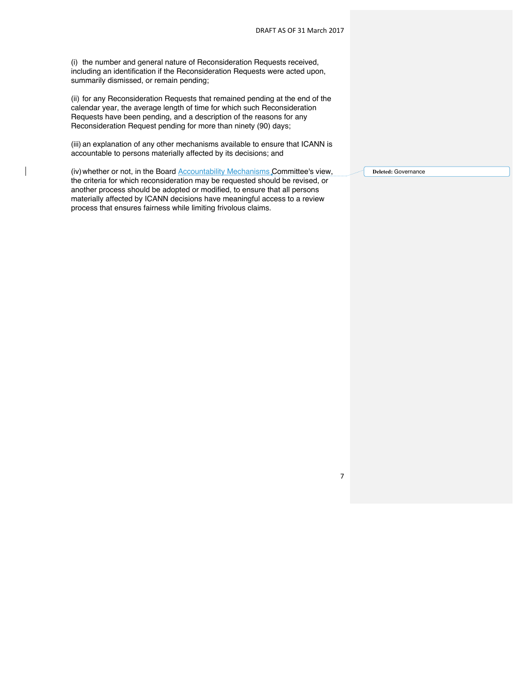(i) the number and general nature of Reconsideration Requests received, including an identification if the Reconsideration Requests were acted upon, summarily dismissed, or remain pending;

(ii) for any Reconsideration Requests that remained pending at the end of the calendar year, the average length of time for which such Reconsideration Requests have been pending, and a description of the reasons for any Reconsideration Request pending for more than ninety (90) days;

(iii) an explanation of any other mechanisms available to ensure that ICANN is accountable to persons materially affected by its decisions; and

(iv) whether or not, in the Board Accountability Mechanisms Committee's view, the criteria for which reconsideration may be requested should be revised, or another process should be adopted or modified, to ensure that all persons materially affected by ICANN decisions have meaningful access to a review process that ensures fairness while limiting frivolous claims.

**Deleted:** Governance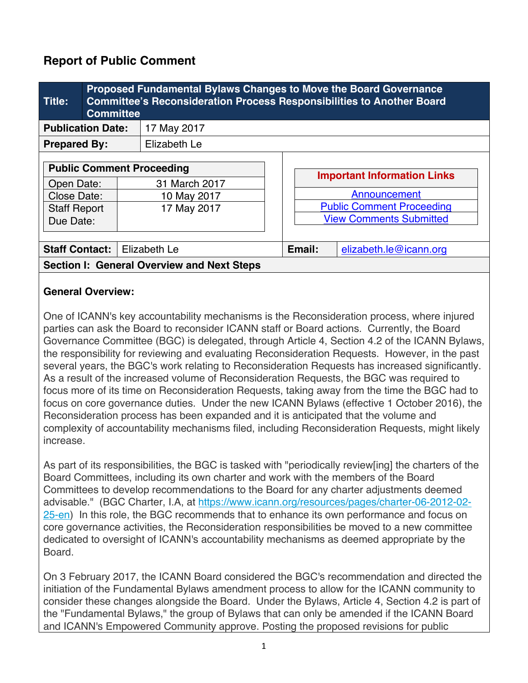# **Report of Public Comment**

| <b>Title:</b>                                                                                     | <b>Committee</b> | Proposed Fundamental Bylaws Changes to Move the Board Governance<br><b>Committee's Reconsideration Process Responsibilities to Another Board</b> |        |                                                                                                                          |
|---------------------------------------------------------------------------------------------------|------------------|--------------------------------------------------------------------------------------------------------------------------------------------------|--------|--------------------------------------------------------------------------------------------------------------------------|
| <b>Publication Date:</b>                                                                          |                  | 17 May 2017                                                                                                                                      |        |                                                                                                                          |
| <b>Prepared By:</b>                                                                               |                  | Elizabeth Le                                                                                                                                     |        |                                                                                                                          |
| <b>Public Comment Proceeding</b><br>Open Date:<br>Close Date:<br><b>Staff Report</b><br>Due Date: |                  | 31 March 2017<br>10 May 2017<br>17 May 2017                                                                                                      |        | <b>Important Information Links</b><br>Announcement<br><b>Public Comment Proceeding</b><br><b>View Comments Submitted</b> |
| <b>Staff Contact:</b>                                                                             |                  | Elizabeth Le                                                                                                                                     | Email: | elizabeth.le@icann.org                                                                                                   |
| <b>Section I: General Overview and Next Steps</b>                                                 |                  |                                                                                                                                                  |        |                                                                                                                          |

## **General Overview:**

One of ICANN's key accountability mechanisms is the Reconsideration process, where injured parties can ask the Board to reconsider ICANN staff or Board actions. Currently, the Board Governance Committee (BGC) is delegated, through Article 4, Section 4.2 of the ICANN Bylaws, the responsibility for reviewing and evaluating Reconsideration Requests. However, in the past several years, the BGC's work relating to Reconsideration Requests has increased significantly. As a result of the increased volume of Reconsideration Requests, the BGC was required to focus more of its time on Reconsideration Requests, taking away from the time the BGC had to focus on core governance duties. Under the new ICANN Bylaws (effective 1 October 2016), the Reconsideration process has been expanded and it is anticipated that the volume and complexity of accountability mechanisms filed, including Reconsideration Requests, might likely increase.

As part of its responsibilities, the BGC is tasked with "periodically review[ing] the charters of the Board Committees, including its own charter and work with the members of the Board Committees to develop recommendations to the Board for any charter adjustments deemed advisable." (BGC Charter, I.A, at https://www.icann.org/resources/pages/charter-06-2012-02- 25-en) In this role, the BGC recommends that to enhance its own performance and focus on core governance activities, the Reconsideration responsibilities be moved to a new committee dedicated to oversight of ICANN's accountability mechanisms as deemed appropriate by the Board.

On 3 February 2017, the ICANN Board considered the BGC's recommendation and directed the initiation of the Fundamental Bylaws amendment process to allow for the ICANN community to consider these changes alongside the Board. Under the Bylaws, Article 4, Section 4.2 is part of the "Fundamental Bylaws," the group of Bylaws that can only be amended if the ICANN Board and ICANN's Empowered Community approve. Posting the proposed revisions for public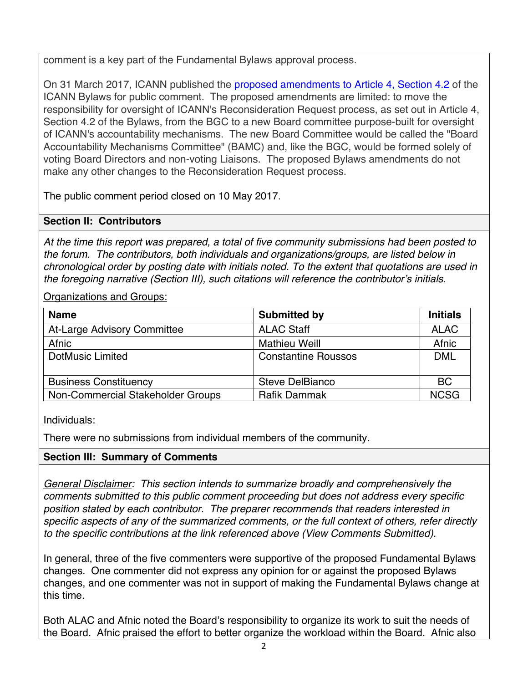comment is a key part of the Fundamental Bylaws approval process.

On 31 March 2017, ICANN published the proposed amendments to Article 4, Section 4.2 of the ICANN Bylaws for public comment. The proposed amendments are limited: to move the responsibility for oversight of ICANN's Reconsideration Request process, as set out in Article 4, Section 4.2 of the Bylaws, from the BGC to a new Board committee purpose-built for oversight of ICANN's accountability mechanisms. The new Board Committee would be called the "Board Accountability Mechanisms Committee" (BAMC) and, like the BGC, would be formed solely of voting Board Directors and non-voting Liaisons. The proposed Bylaws amendments do not make any other changes to the Reconsideration Request process.

The public comment period closed on 10 May 2017.

# **Section II: Contributors**

chronological order by posting date with initials noted. To the extent that quotations are used in characterizations are used in *At the time this report was prepared, a total of five community submissions had been posted to the forum. The contributors, both individuals and organizations/groups, are listed below in the foregoing narrative (Section III), such citations will reference the contributor's initials.*

Organizations and Groups:

| <b>Name</b>                       | <b>Submitted by</b>        | <b>Initials</b> |
|-----------------------------------|----------------------------|-----------------|
| At-Large Advisory Committee       | <b>ALAC Staff</b>          | <b>ALAC</b>     |
| Afnic                             | <b>Mathieu Weill</b>       | Afnic           |
| <b>DotMusic Limited</b>           | <b>Constantine Roussos</b> | <b>DML</b>      |
| <b>Business Constituency</b>      | Steve DelBianco            | <b>BC</b>       |
| Non-Commercial Stakeholder Groups | <b>Rafik Dammak</b>        | <b>NCSG</b>     |

Individuals:

There were no submissions from individual members of the community.

# **Section III: Summary of Comments**

*General Disclaimer: This section intends to summarize broadly and comprehensively the comments submitted to this public comment proceeding but does not address every specific position stated by each contributor. The preparer recommends that readers interested in specific aspects of any of the summarized comments, or the full context of others, refer directly to the specific contributions at the link referenced above (View Comments Submitted).*

In general, three of the five commenters were supportive of the proposed Fundamental Bylaws changes. One commenter did not express any opinion for or against the proposed Bylaws changes, and one commenter was not in support of making the Fundamental Bylaws change at this time.

Both ALAC and Afnic noted the Board's responsibility to organize its work to suit the needs of the Board. Afnic praised the effort to better organize the workload within the Board. Afnic also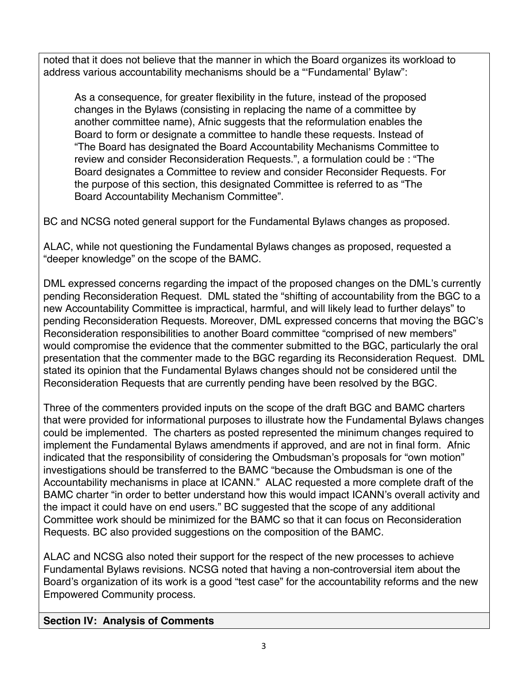noted that it does not believe that the manner in which the Board organizes its workload to address various accountability mechanisms should be a "'Fundamental' Bylaw":

As a consequence, for greater flexibility in the future, instead of the proposed changes in the Bylaws (consisting in replacing the name of a committee by another committee name), Afnic suggests that the reformulation enables the Board to form or designate a committee to handle these requests. Instead of "The Board has designated the Board Accountability Mechanisms Committee to review and consider Reconsideration Requests.", a formulation could be : "The Board designates a Committee to review and consider Reconsider Requests. For the purpose of this section, this designated Committee is referred to as "The Board Accountability Mechanism Committee".

BC and NCSG noted general support for the Fundamental Bylaws changes as proposed.

ALAC, while not questioning the Fundamental Bylaws changes as proposed, requested a "deeper knowledge" on the scope of the BAMC.

DML expressed concerns regarding the impact of the proposed changes on the DML's currently pending Reconsideration Request. DML stated the "shifting of accountability from the BGC to a new Accountability Committee is impractical, harmful, and will likely lead to further delays" to pending Reconsideration Requests. Moreover, DML expressed concerns that moving the BGC's Reconsideration responsibilities to another Board committee "comprised of new members" would compromise the evidence that the commenter submitted to the BGC, particularly the oral presentation that the commenter made to the BGC regarding its Reconsideration Request. DML stated its opinion that the Fundamental Bylaws changes should not be considered until the Reconsideration Requests that are currently pending have been resolved by the BGC.

Three of the commenters provided inputs on the scope of the draft BGC and BAMC charters that were provided for informational purposes to illustrate how the Fundamental Bylaws changes could be implemented. The charters as posted represented the minimum changes required to implement the Fundamental Bylaws amendments if approved, and are not in final form. Afnic indicated that the responsibility of considering the Ombudsman's proposals for "own motion" investigations should be transferred to the BAMC "because the Ombudsman is one of the Accountability mechanisms in place at ICANN." ALAC requested a more complete draft of the BAMC charter "in order to better understand how this would impact ICANN's overall activity and the impact it could have on end users." BC suggested that the scope of any additional Committee work should be minimized for the BAMC so that it can focus on Reconsideration Requests. BC also provided suggestions on the composition of the BAMC.

ALAC and NCSG also noted their support for the respect of the new processes to achieve Fundamental Bylaws revisions. NCSG noted that having a non-controversial item about the Board's organization of its work is a good "test case" for the accountability reforms and the new Empowered Community process.

## **Section IV: Analysis of Comments**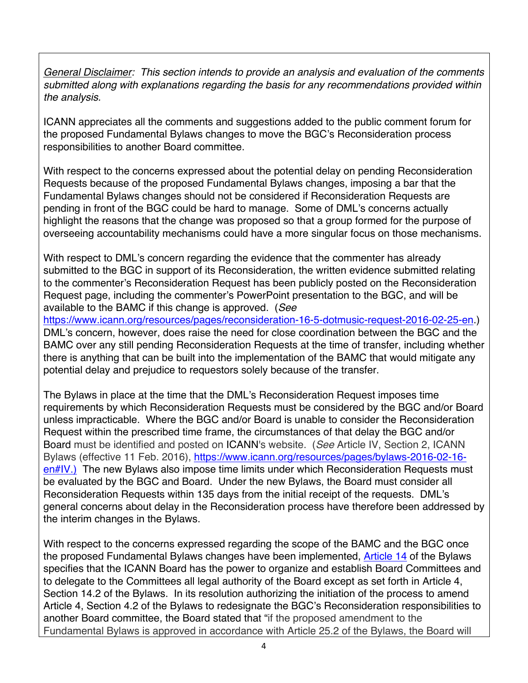*General Disclaimer: This section intends to provide an analysis and evaluation of the comments submitted along with explanations regarding the basis for any recommendations provided within the analysis.*

ICANN appreciates all the comments and suggestions added to the public comment forum for the proposed Fundamental Bylaws changes to move the BGC's Reconsideration process responsibilities to another Board committee.

With respect to the concerns expressed about the potential delay on pending Reconsideration Requests because of the proposed Fundamental Bylaws changes, imposing a bar that the Fundamental Bylaws changes should not be considered if Reconsideration Requests are pending in front of the BGC could be hard to manage. Some of DML's concerns actually highlight the reasons that the change was proposed so that a group formed for the purpose of overseeing accountability mechanisms could have a more singular focus on those mechanisms.

With respect to DML's concern regarding the evidence that the commenter has already submitted to the BGC in support of its Reconsideration, the written evidence submitted relating to the commenter's Reconsideration Request has been publicly posted on the Reconsideration Request page, including the commenter's PowerPoint presentation to the BGC, and will be available to the BAMC if this change is approved. (*See* 

https://www.icann.org/resources/pages/reconsideration-16-5-dotmusic-request-2016-02-25-en.) DML's concern, however, does raise the need for close coordination between the BGC and the BAMC over any still pending Reconsideration Requests at the time of transfer, including whether there is anything that can be built into the implementation of the BAMC that would mitigate any potential delay and prejudice to requestors solely because of the transfer.

The Bylaws in place at the time that the DML's Reconsideration Request imposes time requirements by which Reconsideration Requests must be considered by the BGC and/or Board unless impracticable. Where the BGC and/or Board is unable to consider the Reconsideration Request within the prescribed time frame, the circumstances of that delay the BGC and/or Board must be identified and posted on ICANN's website. (*See* Article IV, Section 2, ICANN Bylaws (effective 11 Feb. 2016), https://www.icann.org/resources/pages/bylaws-2016-02-16 en#IV.) The new Bylaws also impose time limits under which Reconsideration Requests must be evaluated by the BGC and Board. Under the new Bylaws, the Board must consider all Reconsideration Requests within 135 days from the initial receipt of the requests. DML's general concerns about delay in the Reconsideration process have therefore been addressed by the interim changes in the Bylaws.

With respect to the concerns expressed regarding the scope of the BAMC and the BGC once the proposed Fundamental Bylaws changes have been implemented, Article 14 of the Bylaws specifies that the ICANN Board has the power to organize and establish Board Committees and to delegate to the Committees all legal authority of the Board except as set forth in Article 4, Section 14.2 of the Bylaws. In its resolution authorizing the initiation of the process to amend Article 4, Section 4.2 of the Bylaws to redesignate the BGC's Reconsideration responsibilities to another Board committee, the Board stated that "if the proposed amendment to the Fundamental Bylaws is approved in accordance with Article 25.2 of the Bylaws, the Board will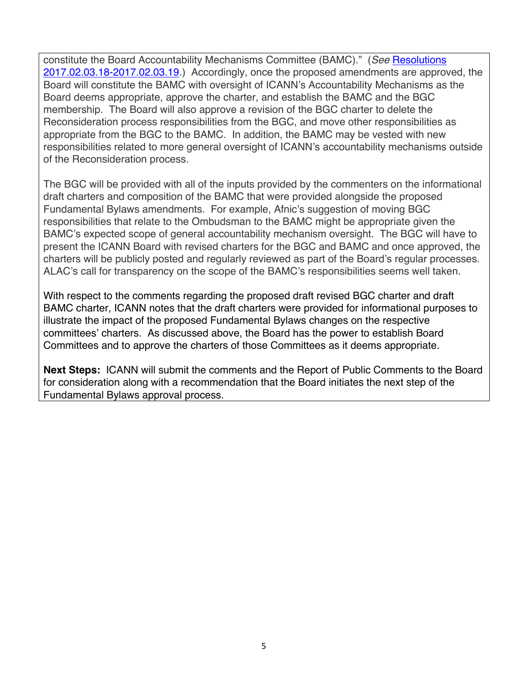constitute the Board Accountability Mechanisms Committee (BAMC)." (*See* Resolutions 2017.02.03.18-2017.02.03.19.) Accordingly, once the proposed amendments are approved, the Board will constitute the BAMC with oversight of ICANN's Accountability Mechanisms as the Board deems appropriate, approve the charter, and establish the BAMC and the BGC membership. The Board will also approve a revision of the BGC charter to delete the Reconsideration process responsibilities from the BGC, and move other responsibilities as appropriate from the BGC to the BAMC. In addition, the BAMC may be vested with new responsibilities related to more general oversight of ICANN's accountability mechanisms outside of the Reconsideration process.

The BGC will be provided with all of the inputs provided by the commenters on the informational draft charters and composition of the BAMC that were provided alongside the proposed Fundamental Bylaws amendments. For example, Afnic's suggestion of moving BGC responsibilities that relate to the Ombudsman to the BAMC might be appropriate given the BAMC's expected scope of general accountability mechanism oversight. The BGC will have to present the ICANN Board with revised charters for the BGC and BAMC and once approved, the charters will be publicly posted and regularly reviewed as part of the Board's regular processes. ALAC's call for transparency on the scope of the BAMC's responsibilities seems well taken.

With respect to the comments regarding the proposed draft revised BGC charter and draft BAMC charter, ICANN notes that the draft charters were provided for informational purposes to illustrate the impact of the proposed Fundamental Bylaws changes on the respective committees' charters. As discussed above, the Board has the power to establish Board Committees and to approve the charters of those Committees as it deems appropriate.

**Next Steps:** ICANN will submit the comments and the Report of Public Comments to the Board for consideration along with a recommendation that the Board initiates the next step of the Fundamental Bylaws approval process.